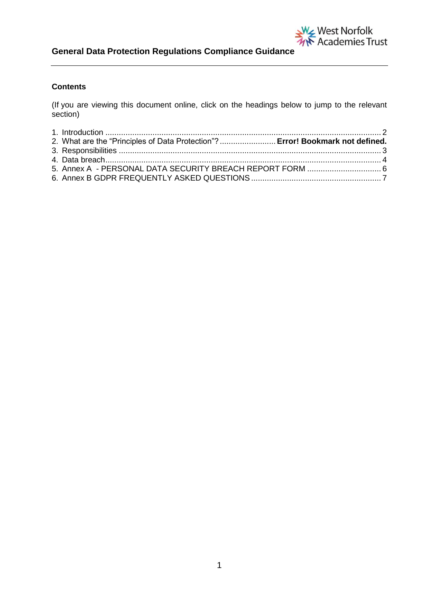

# **Contents**

(If you are viewing this document online, click on the headings below to jump to the relevant section)

| 2. What are the "Principles of Data Protection"? Error! Bookmark not defined. |  |
|-------------------------------------------------------------------------------|--|
|                                                                               |  |
|                                                                               |  |
|                                                                               |  |
|                                                                               |  |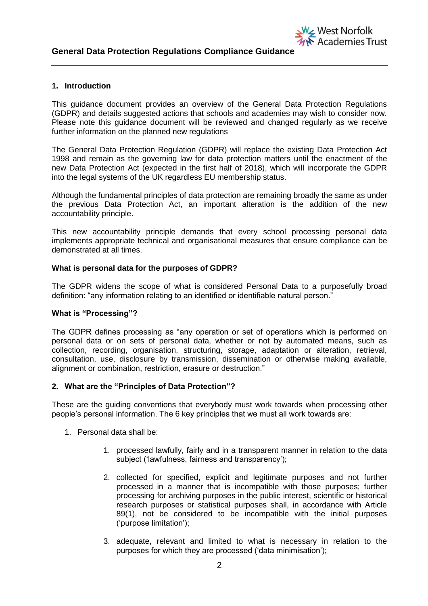## <span id="page-1-0"></span>**1. Introduction**

This guidance document provides an overview of the General Data Protection Regulations (GDPR) and details suggested actions that schools and academies may wish to consider now. Please note this guidance document will be reviewed and changed regularly as we receive further information on the planned new regulations

W<sub><</sub>West Norfolk

Academies Trust

The General Data Protection Regulation (GDPR) will replace the existing Data Protection Act 1998 and remain as the governing law for data protection matters until the enactment of the new Data Protection Act (expected in the first half of 2018), which will incorporate the GDPR into the legal systems of the UK regardless EU membership status.

Although the fundamental principles of data protection are remaining broadly the same as under the previous Data Protection Act, an important alteration is the addition of the new accountability principle.

This new accountability principle demands that every school processing personal data implements appropriate technical and organisational measures that ensure compliance can be demonstrated at all times.

#### **What is personal data for the purposes of GDPR?**

The GDPR widens the scope of what is considered Personal Data to a purposefully broad definition: "any information relating to an identified or identifiable natural person."

# **What is "Processing"?**

The GDPR defines processing as "any operation or set of operations which is performed on personal data or on sets of personal data, whether or not by automated means, such as collection, recording, organisation, structuring, storage, adaptation or alteration, retrieval, consultation, use, disclosure by transmission, dissemination or otherwise making available, alignment or combination, restriction, erasure or destruction."

#### **2. What are the "Principles of Data Protection"?**

These are the guiding conventions that everybody must work towards when processing other people's personal information. The 6 key principles that we must all work towards are:

- 1. Personal data shall be:
	- 1. processed lawfully, fairly and in a transparent manner in relation to the data subject ('lawfulness, fairness and transparency');
	- 2. collected for specified, explicit and legitimate purposes and not further processed in a manner that is incompatible with those purposes; further processing for archiving purposes in the public interest, scientific or historical research purposes or statistical purposes shall, in accordance with Article 89(1), not be considered to be incompatible with the initial purposes ('purpose limitation');
	- 3. adequate, relevant and limited to what is necessary in relation to the purposes for which they are processed ('data minimisation');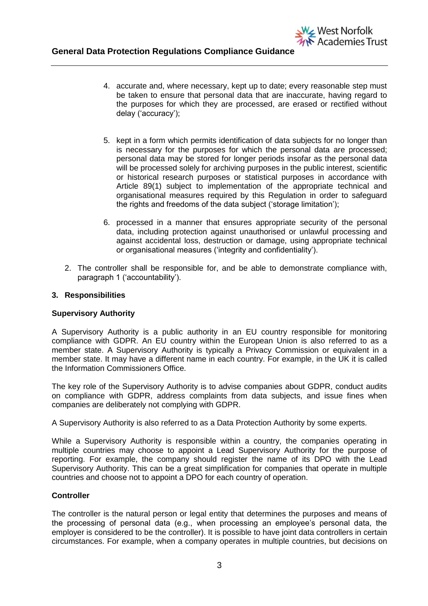4. accurate and, where necessary, kept up to date; every reasonable step must be taken to ensure that personal data that are inaccurate, having regard to the purposes for which they are processed, are erased or rectified without delay ('accuracy');

West Norfolk

Academies Trust

- 5. kept in a form which permits identification of data subjects for no longer than is necessary for the purposes for which the personal data are processed; personal data may be stored for longer periods insofar as the personal data will be processed solely for archiving purposes in the public interest, scientific or historical research purposes or statistical purposes in accordance with Article 89(1) subject to implementation of the appropriate technical and organisational measures required by this Regulation in order to safeguard the rights and freedoms of the data subject ('storage limitation');
- 6. processed in a manner that ensures appropriate security of the personal data, including protection against unauthorised or unlawful processing and against accidental loss, destruction or damage, using appropriate technical or organisational measures ('integrity and confidentiality').
- 2. The controller shall be responsible for, and be able to demonstrate compliance with, paragraph 1 ('accountability').

# **3. Responsibilities**

#### **Supervisory Authority**

A Supervisory Authority is a public authority in an EU country responsible for monitoring compliance with GDPR. An EU country within the European Union is also referred to as a member state. A Supervisory Authority is typically a Privacy Commission or equivalent in a member state. It may have a different name in each country. For example, in the UK it is called the Information Commissioners Office.

The key role of the Supervisory Authority is to advise companies about GDPR, conduct audits on compliance with GDPR, address complaints from data subjects, and issue fines when companies are deliberately not complying with GDPR.

A Supervisory Authority is also referred to as a Data Protection Authority by some experts.

While a Supervisory Authority is responsible within a country, the companies operating in multiple countries may choose to appoint a Lead Supervisory Authority for the purpose of reporting. For example, the company should register the name of its DPO with the Lead Supervisory Authority. This can be a great simplification for companies that operate in multiple countries and choose not to appoint a DPO for each country of operation.

#### **Controller**

The controller is the natural person or legal entity that determines the purposes and means of the processing of personal data (e.g., when processing an employee's personal data, the employer is considered to be the controller). It is possible to have joint data controllers in certain circumstances. For example, when a company operates in multiple countries, but decisions on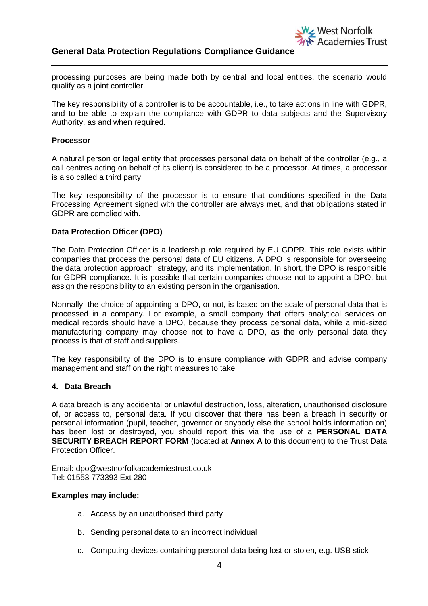

# **General Data Protection Regulations Compliance Guidance**

processing purposes are being made both by central and local entities, the scenario would qualify as a joint controller.

The key responsibility of a controller is to be accountable, i.e., to take actions in line with GDPR, and to be able to explain the compliance with GDPR to data subjects and the Supervisory Authority, as and when required.

## **Processor**

A natural person or legal entity that processes personal data on behalf of the controller (e.g., a call centres acting on behalf of its client) is considered to be a processor. At times, a processor is also called a third party.

The key responsibility of the processor is to ensure that conditions specified in the Data Processing Agreement signed with the controller are always met, and that obligations stated in GDPR are complied with.

# **Data Protection Officer (DPO)**

The Data Protection Officer is a leadership role required by EU GDPR. This role exists within companies that process the personal data of EU citizens. A DPO is responsible for overseeing the data protection approach, strategy, and its implementation. In short, the DPO is responsible for GDPR compliance. It is possible that certain companies choose not to appoint a DPO, but assign the responsibility to an existing person in the organisation.

Normally, the choice of appointing a DPO, or not, is based on the scale of personal data that is processed in a company. For example, a small company that offers analytical services on medical records should have a DPO, because they process personal data, while a mid-sized manufacturing company may choose not to have a DPO, as the only personal data they process is that of staff and suppliers.

The key responsibility of the DPO is to ensure compliance with GDPR and advise company management and staff on the right measures to take.

#### **4. Data Breach**

A data breach is any accidental or unlawful destruction, loss, alteration, unauthorised disclosure of, or access to, personal data. If you discover that there has been a breach in security or personal information (pupil, teacher, governor or anybody else the school holds information on) has been lost or destroyed, you should report this via the use of a **PERSONAL DATA SECURITY BREACH REPORT FORM** (located at **Annex A** to this document) to the Trust Data Protection Officer.

Email: dpo@westnorfolkacademiestrust.co.uk Tel: 01553 773393 Ext 280

## **Examples may include:**

- a. Access by an unauthorised third party
- b. Sending personal data to an incorrect individual
- c. Computing devices containing personal data being lost or stolen, e.g. USB stick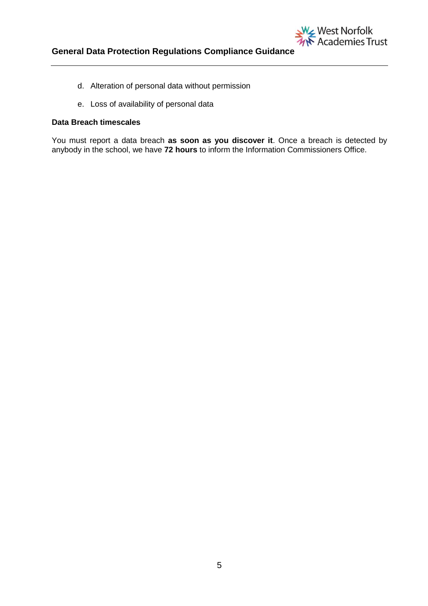

- d. Alteration of personal data without permission
- e. Loss of availability of personal data

# **Data Breach timescales**

You must report a data breach **as soon as you discover it**. Once a breach is detected by anybody in the school, we have **72 hours** to inform the Information Commissioners Office.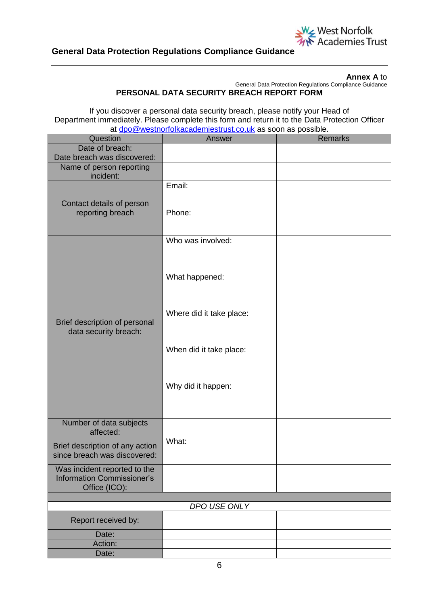

**Annex A** to

General Data Protection Regulations Compliance Guidance

**PERSONAL DATA SECURITY BREACH REPORT FORM**

If you discover a personal data security breach, please notify your Head of Department immediately. Please complete this form and return it to the Data Protection Officer at [dpo@westnorfolkacademiestrust.co.uk](mailto:dpo@westnorfolkacademiestrust.co.uk) as soon as possible.

| Question                                                                           | Answer                   | <b>Remarks</b> |  |
|------------------------------------------------------------------------------------|--------------------------|----------------|--|
| Date of breach:                                                                    |                          |                |  |
| Date breach was discovered:                                                        |                          |                |  |
| Name of person reporting<br>incident:                                              |                          |                |  |
| Contact details of person<br>reporting breach                                      | Email:<br>Phone:         |                |  |
|                                                                                    | Who was involved:        |                |  |
|                                                                                    | What happened:           |                |  |
| Brief description of personal<br>data security breach:                             | Where did it take place: |                |  |
|                                                                                    | When did it take place:  |                |  |
|                                                                                    | Why did it happen:       |                |  |
| Number of data subjects<br>affected:                                               |                          |                |  |
| Brief description of any action<br>since breach was discovered:                    | What:                    |                |  |
| Was incident reported to the<br><b>Information Commissioner's</b><br>Office (ICO): |                          |                |  |
|                                                                                    |                          |                |  |
| DPO USE ONLY                                                                       |                          |                |  |
| Report received by:                                                                |                          |                |  |
| Date:                                                                              |                          |                |  |
| Action:                                                                            |                          |                |  |
| Date:                                                                              |                          |                |  |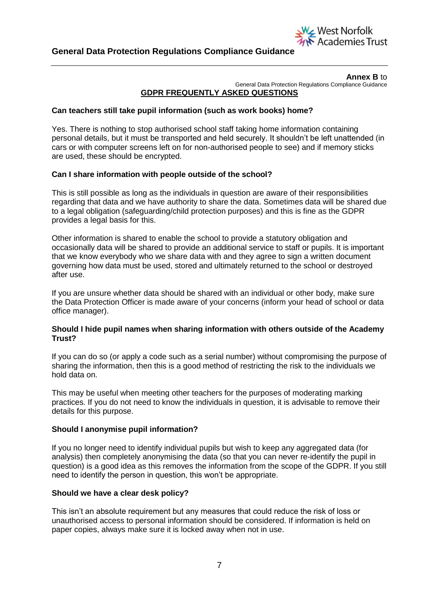

#### **Annex B** to General Data Protection Regulations Compliance Guidance **GDPR FREQUENTLY ASKED QUESTIONS**

# **Can teachers still take pupil information (such as work books) home?**

Yes. There is nothing to stop authorised school staff taking home information containing personal details, but it must be transported and held securely. It shouldn't be left unattended (in cars or with computer screens left on for non-authorised people to see) and if memory sticks are used, these should be encrypted.

# **Can I share information with people outside of the school?**

This is still possible as long as the individuals in question are aware of their responsibilities regarding that data and we have authority to share the data. Sometimes data will be shared due to a legal obligation (safeguarding/child protection purposes) and this is fine as the GDPR provides a legal basis for this.

Other information is shared to enable the school to provide a statutory obligation and occasionally data will be shared to provide an additional service to staff or pupils. It is important that we know everybody who we share data with and they agree to sign a written document governing how data must be used, stored and ultimately returned to the school or destroyed after use.

If you are unsure whether data should be shared with an individual or other body, make sure the Data Protection Officer is made aware of your concerns (inform your head of school or data office manager).

# **Should I hide pupil names when sharing information with others outside of the Academy Trust?**

If you can do so (or apply a code such as a serial number) without compromising the purpose of sharing the information, then this is a good method of restricting the risk to the individuals we hold data on.

This may be useful when meeting other teachers for the purposes of moderating marking practices. If you do not need to know the individuals in question, it is advisable to remove their details for this purpose.

# **Should I anonymise pupil information?**

If you no longer need to identify individual pupils but wish to keep any aggregated data (for analysis) then completely anonymising the data (so that you can never re-identify the pupil in question) is a good idea as this removes the information from the scope of the GDPR. If you still need to identify the person in question, this won't be appropriate.

# **Should we have a clear desk policy?**

This isn't an absolute requirement but any measures that could reduce the risk of loss or unauthorised access to personal information should be considered. If information is held on paper copies, always make sure it is locked away when not in use.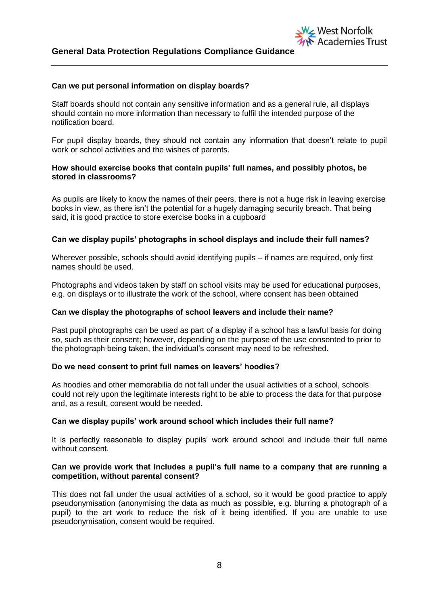## **Can we put personal information on display boards?**

Staff boards should not contain any sensitive information and as a general rule, all displays should contain no more information than necessary to fulfil the intended purpose of the notification board.

For pupil display boards, they should not contain any information that doesn't relate to pupil work or school activities and the wishes of parents.

West Norfolk

**Academies Trust** 

# **How should exercise books that contain pupils' full names, and possibly photos, be stored in classrooms?**

As pupils are likely to know the names of their peers, there is not a huge risk in leaving exercise books in view, as there isn't the potential for a hugely damaging security breach. That being said, it is good practice to store exercise books in a cupboard

# **Can we display pupils' photographs in school displays and include their full names?**

Wherever possible, schools should avoid identifying pupils – if names are required, only first names should be used.

Photographs and videos taken by staff on school visits may be used for educational purposes, e.g. on displays or to illustrate the work of the school, where consent has been obtained

#### **Can we display the photographs of school leavers and include their name?**

Past pupil photographs can be used as part of a display if a school has a lawful basis for doing so, such as their consent; however, depending on the purpose of the use consented to prior to the photograph being taken, the individual's consent may need to be refreshed.

#### **Do we need consent to print full names on leavers' hoodies?**

As hoodies and other memorabilia do not fall under the usual activities of a school, schools could not rely upon the legitimate interests right to be able to process the data for that purpose and, as a result, consent would be needed.

#### **Can we display pupils' work around school which includes their full name?**

It is perfectly reasonable to display pupils' work around school and include their full name without consent.

#### **Can we provide work that includes a pupil's full name to a company that are running a competition, without parental consent?**

This does not fall under the usual activities of a school, so it would be good practice to apply pseudonymisation (anonymising the data as much as possible, e.g. blurring a photograph of a pupil) to the art work to reduce the risk of it being identified. If you are unable to use pseudonymisation, consent would be required.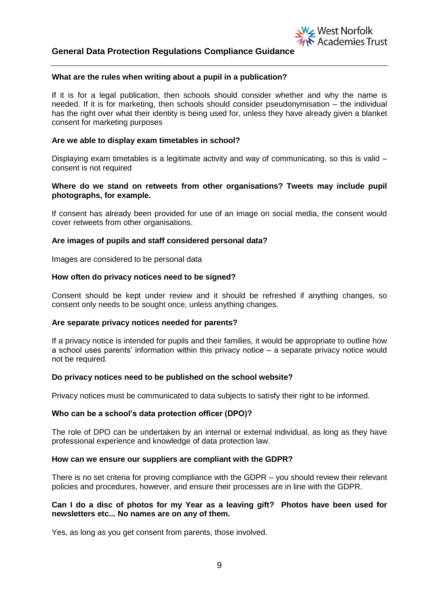## **What are the rules when writing about a pupil in a publication?**

If it is for a legal publication, then schools should consider whether and why the name is needed. If it is for marketing, then schools should consider pseudonymisation – the individual has the right over what their identity is being used for, unless they have already given a blanket consent for marketing purposes

## **Are we able to display exam timetables in school?**

Displaying exam timetables is a legitimate activity and way of communicating, so this is valid – consent is not required

## **Where do we stand on retweets from other organisations? Tweets may include pupil photographs, for example.**

If consent has already been provided for use of an image on social media, the consent would cover retweets from other organisations.

# **Are images of pupils and staff considered personal data?**

Images are considered to be personal data

#### **How often do privacy notices need to be signed?**

Consent should be kept under review and it should be refreshed if anything changes, so consent only needs to be sought once, unless anything changes.

#### **Are separate privacy notices needed for parents?**

If a privacy notice is intended for pupils and their families, it would be appropriate to outline how a school uses parents' information within this privacy notice – a separate privacy notice would not be required.

#### **Do privacy notices need to be published on the school website?**

Privacy notices must be communicated to data subjects to satisfy their right to be informed.

#### **Who can be a school's data protection officer (DPO)?**

The role of DPO can be undertaken by an internal or external individual, as long as they have professional experience and knowledge of data protection law.

#### **How can we ensure our suppliers are compliant with the GDPR?**

There is no set criteria for proving compliance with the GDPR – you should review their relevant policies and procedures, however, and ensure their processes are in line with the GDPR.

# **Can I do a disc of photos for my Year as a leaving gift? Photos have been used for newsletters etc... No names are on any of them.**

Yes, as long as you get consent from parents, those involved.